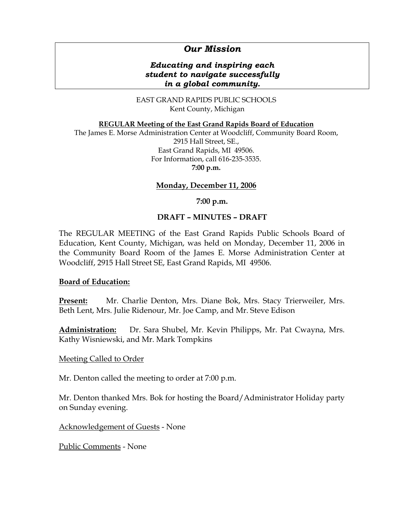# *Our Mission*

# *Educating and inspiring each student to navigate successfully in a global community.*

EAST GRAND RAPIDS PUBLIC SCHOOLS Kent County, Michigan

**REGULAR Meeting of the East Grand Rapids Board of Education**

The James E. Morse Administration Center at Woodcliff, Community Board Room, 2915 Hall Street, SE., East Grand Rapids, MI 49506. For Information, call 616-235-3535. **7:00 p.m.**

### **Monday, December 11, 2006**

#### **7:00 p.m.**

### **DRAFT – MINUTES – DRAFT**

The REGULAR MEETING of the East Grand Rapids Public Schools Board of Education, Kent County, Michigan, was held on Monday, December 11, 2006 in the Community Board Room of the James E. Morse Administration Center at Woodcliff, 2915 Hall Street SE, East Grand Rapids, MI 49506.

#### **Board of Education:**

**Present:** Mr. Charlie Denton, Mrs. Diane Bok, Mrs. Stacy Trierweiler, Mrs. Beth Lent, Mrs. Julie Ridenour, Mr. Joe Camp, and Mr. Steve Edison

**Administration:** Dr. Sara Shubel, Mr. Kevin Philipps, Mr. Pat Cwayna, Mrs. Kathy Wisniewski, and Mr. Mark Tompkins

#### Meeting Called to Order

Mr. Denton called the meeting to order at 7:00 p.m.

Mr. Denton thanked Mrs. Bok for hosting the Board/Administrator Holiday party on Sunday evening.

Acknowledgement of Guests - None

Public Comments - None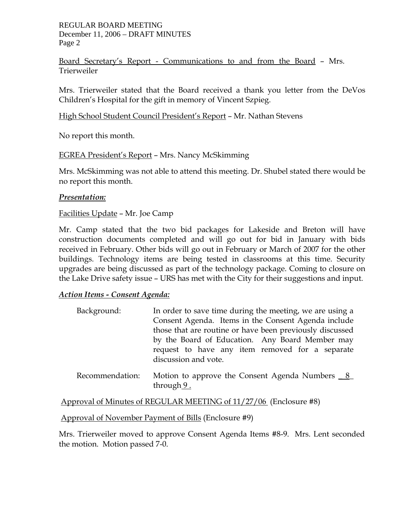REGULAR BOARD MEETING December 11, 2006 – DRAFT MINUTES Page 2

Board Secretary's Report - Communications to and from the Board – Mrs. Trierweiler

Mrs. Trierweiler stated that the Board received a thank you letter from the DeVos Children's Hospital for the gift in memory of Vincent Szpieg.

High School Student Council President's Report – Mr. Nathan Stevens

No report this month.

EGREA President's Report – Mrs. Nancy McSkimming

Mrs. McSkimming was not able to attend this meeting. Dr. Shubel stated there would be no report this month.

# *Presentation:*

Facilities Update – Mr. Joe Camp

Mr. Camp stated that the two bid packages for Lakeside and Breton will have construction documents completed and will go out for bid in January with bids received in February. Other bids will go out in February or March of 2007 for the other buildings. Technology items are being tested in classrooms at this time. Security upgrades are being discussed as part of the technology package. Coming to closure on the Lake Drive safety issue – URS has met with the City for their suggestions and input.

# *Action Items - Consent Agenda:*

| Background:     | In order to save time during the meeting, we are using a |
|-----------------|----------------------------------------------------------|
|                 | Consent Agenda. Items in the Consent Agenda include      |
|                 | those that are routine or have been previously discussed |
|                 | by the Board of Education. Any Board Member may          |
|                 | request to have any item removed for a separate          |
|                 | discussion and vote.                                     |
| Recommendation: | Motion to approve the Consent Agenda Numbers <u>8</u>    |

Approval of Minutes of REGULAR MEETING of 11/27/06 (Enclosure #8)

Approval of November Payment of Bills (Enclosure #9)

through 9.

Mrs. Trierweiler moved to approve Consent Agenda Items #8-9. Mrs. Lent seconded the motion. Motion passed 7-0.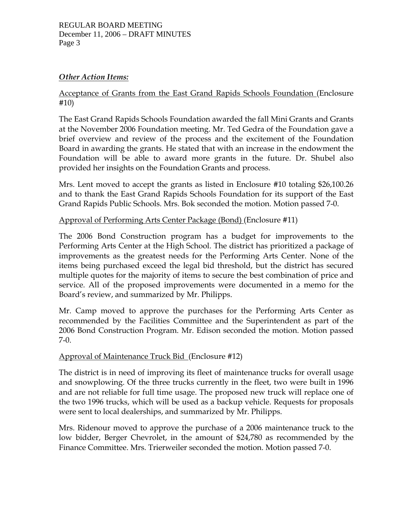### REGULAR BOARD MEETING December 11, 2006 – DRAFT MINUTES Page 3

# *Other Action Items:*

# Acceptance of Grants from the East Grand Rapids Schools Foundation (Enclosure #10)

The East Grand Rapids Schools Foundation awarded the fall Mini Grants and Grants at the November 2006 Foundation meeting. Mr. Ted Gedra of the Foundation gave a brief overview and review of the process and the excitement of the Foundation Board in awarding the grants. He stated that with an increase in the endowment the Foundation will be able to award more grants in the future. Dr. Shubel also provided her insights on the Foundation Grants and process.

Mrs. Lent moved to accept the grants as listed in Enclosure #10 totaling \$26,100.26 and to thank the East Grand Rapids Schools Foundation for its support of the East Grand Rapids Public Schools. Mrs. Bok seconded the motion. Motion passed 7-0.

Approval of Performing Arts Center Package (Bond) (Enclosure #11)

The 2006 Bond Construction program has a budget for improvements to the Performing Arts Center at the High School. The district has prioritized a package of improvements as the greatest needs for the Performing Arts Center. None of the items being purchased exceed the legal bid threshold, but the district has secured multiple quotes for the majority of items to secure the best combination of price and service. All of the proposed improvements were documented in a memo for the Board's review, and summarized by Mr. Philipps.

Mr. Camp moved to approve the purchases for the Performing Arts Center as recommended by the Facilities Committee and the Superintendent as part of the 2006 Bond Construction Program. Mr. Edison seconded the motion. Motion passed 7-0.

# Approval of Maintenance Truck Bid (Enclosure #12)

The district is in need of improving its fleet of maintenance trucks for overall usage and snowplowing. Of the three trucks currently in the fleet, two were built in 1996 and are not reliable for full time usage. The proposed new truck will replace one of the two 1996 trucks, which will be used as a backup vehicle. Requests for proposals were sent to local dealerships, and summarized by Mr. Philipps.

Mrs. Ridenour moved to approve the purchase of a 2006 maintenance truck to the low bidder, Berger Chevrolet, in the amount of \$24,780 as recommended by the Finance Committee. Mrs. Trierweiler seconded the motion. Motion passed 7-0.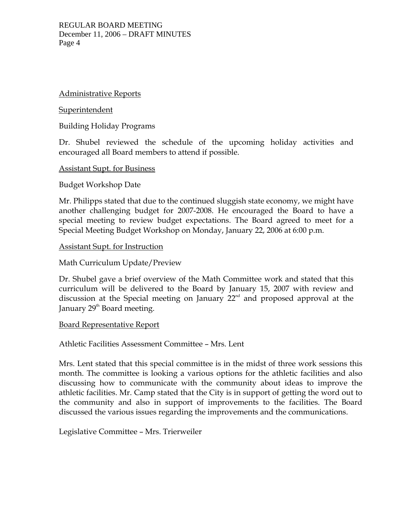## Administrative Reports

### **Superintendent**

Building Holiday Programs

Dr. Shubel reviewed the schedule of the upcoming holiday activities and encouraged all Board members to attend if possible.

### Assistant Supt. for Business

Budget Workshop Date

Mr. Philipps stated that due to the continued sluggish state economy, we might have another challenging budget for 2007-2008. He encouraged the Board to have a special meeting to review budget expectations. The Board agreed to meet for a Special Meeting Budget Workshop on Monday, January 22, 2006 at 6:00 p.m.

### Assistant Supt. for Instruction

# Math Curriculum Update/Preview

Dr. Shubel gave a brief overview of the Math Committee work and stated that this curriculum will be delivered to the Board by January 15, 2007 with review and discussion at the Special meeting on January  $22<sup>nd</sup>$  and proposed approval at the January 29<sup>th</sup> Board meeting.

# Board Representative Report

Athletic Facilities Assessment Committee – Mrs. Lent

Mrs. Lent stated that this special committee is in the midst of three work sessions this month. The committee is looking a various options for the athletic facilities and also discussing how to communicate with the community about ideas to improve the athletic facilities. Mr. Camp stated that the City is in support of getting the word out to the community and also in support of improvements to the facilities. The Board discussed the various issues regarding the improvements and the communications.

Legislative Committee – Mrs. Trierweiler